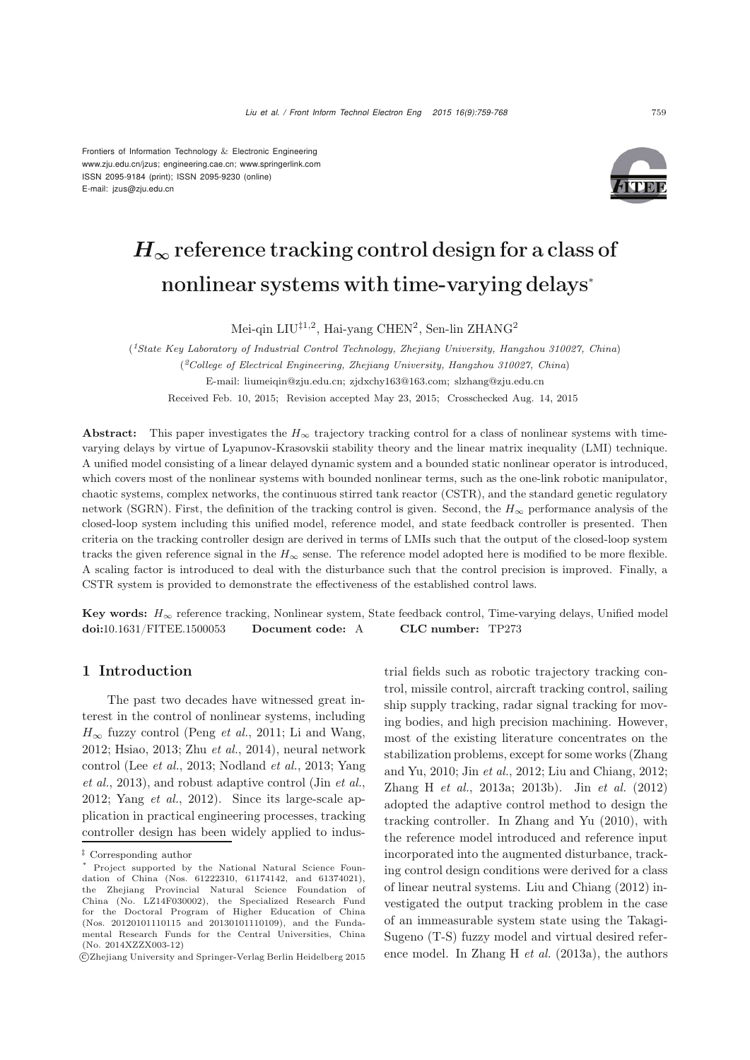Frontiers of Information Technology & Electronic Engineering www.zju.edu.cn/jzus; engineering.cae.cn; www.springerlink.com ISSN 2095-9184 (print); ISSN 2095-9230 (online) E-mail: jzus@zju.edu.cn



# *H*<sub>∞</sub> reference tracking control design for a class of nonlinear systems with time-varying delays<sup>∗</sup>

Mei-qin LIU<sup>‡1,2</sup>, Hai-yang CHEN<sup>2</sup>, Sen-lin ZHANG<sup>2</sup>

(*1State Key Laboratory of Industrial Control Technology, Zhejiang University, Hangzhou 310027, China*) (*2College of Electrical Engineering, Zhejiang University, Hangzhou 310027, China*) E-mail: liumeiqin@zju.edu.cn; zjdxchy163@163.com; slzhang@zju.edu.cn Received Feb. 10, 2015; Revision accepted May 23, 2015; Crosschecked Aug. 14, 2015

Abstract: This paper investigates the  $H_{\infty}$  trajectory tracking control for a class of nonlinear systems with timevarying delays by virtue of Lyapunov-Krasovskii stability theory and the linear matrix inequality (LMI) technique. A unified model consisting of a linear delayed dynamic system and a bounded static nonlinear operator is introduced, which covers most of the nonlinear systems with bounded nonlinear terms, such as the one-link robotic manipulator, chaotic systems, complex networks, the continuous stirred tank reactor (CSTR), and the standard genetic regulatory network (SGRN). First, the definition of the tracking control is given. Second, the *H*<sup>∞</sup> performance analysis of the closed-loop system including this unified model, reference model, and state feedback controller is presented. Then criteria on the tracking controller design are derived in terms of LMIs such that the output of the closed-loop system tracks the given reference signal in the  $H_{\infty}$  sense. The reference model adopted here is modified to be more flexible. A scaling factor is introduced to deal with the disturbance such that the control precision is improved. Finally, a CSTR system is provided to demonstrate the effectiveness of the established control laws.

Key words: *<sup>H</sup>*<sup>∞</sup> reference tracking, Nonlinear system, State feedback control, Time-varying delays, Unified model doi:10.1631/FITEE.1500053 Document code: A CLC number: TP273

# 1 Introduction

The past two decades have witnessed great interest in the control of nonlinear systems, including  $H_{\infty}$  fuzzy control [\(Peng](#page-8-0) *et al.*, [2011;](#page-8-0) [Li and Wang](#page-8-1), [2012](#page-8-1); [Hsiao](#page-8-2), [2013](#page-8-2); Zhu *[et al.](#page-9-0)*, [2014](#page-9-0)), neural network control (Lee *[et al.](#page-8-3)*[,](#page-9-1) [2013](#page-8-3)[;](#page-9-1) [Nodland](#page-8-4) *et al.*, [2013](#page-8-4); Yang *et al.*, [2013\)](#page-9-1), and robust adaptive control (Jin *[et al.](#page-8-5)*, [2012](#page-8-5); [Yang](#page-9-2) *et al.*, [2012\)](#page-9-2). Since its large-scale application in practical engineering processes, tracking controller design has been widely applied to industrial fields such as robotic trajectory tracking control, missile control, aircraft tracking control, sailing ship supply tracking, radar signal tracking for moving bodies, and high precision machining. However, most of the existing literature concentrates on the stabilization problems, except for some works (Zhang and Yu, 2010; Jin *et al.*, 2012; Liu and Chiang, 2012; Zhang H *et al.*, 2013a; 2013b). Jin *[et al.](#page-8-5)* [\(2012](#page-8-5)) adopted the adaptive control method to design the tracking controller. In [Zhang and Yu](#page-9-3) [\(2010](#page-9-3)), with the reference model introduced and reference input incorporated into the augmented disturbance, tracking control design conditions were derived for a class of linear neutral systems. [Liu and Chiang](#page-8-6) [\(2012\)](#page-8-6) investigated the output tracking problem in the case of an immeasurable system state using the Takagi-Sugeno (T-S) fuzzy model and virtual desired reference model. In [Zhang H](#page-9-4) *et al.* [\(2013a](#page-9-4)), the authors

 $^\ddag$  Corresponding author

Project supported by the National Natural Science Foundation of China (Nos. 61222310, 61174142, and 61374021), the Zhejiang Provincial Natural Science Foundation of China (No. LZ14F030002), the Specialized Research Fund for the Doctoral Program of Higher Education of China (Nos. 20120101110115 and 20130101110109), and the Fundamental Research Funds for the Central Universities, China (No. 2014XZZX003-12)

c Zhejiang University and Springer-Verlag Berlin Heidelberg 2015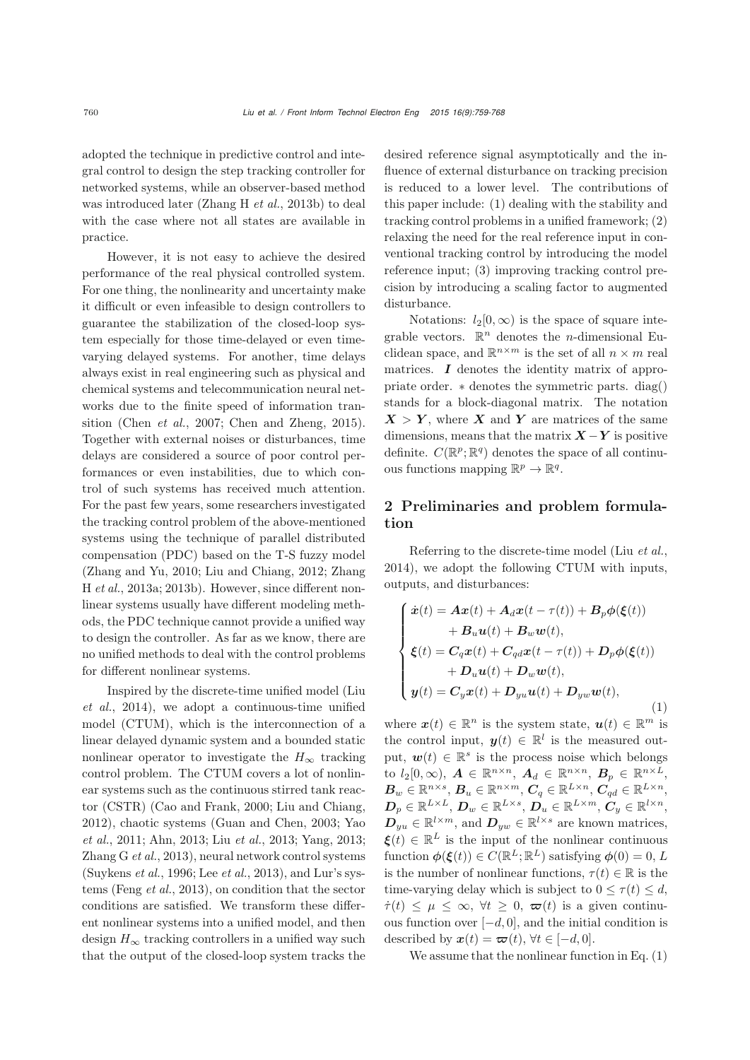adopted the technique in predictive control and integral control to design the step tracking controller for networked systems, while an observer-based method was introduced later [\(Zhang H](#page-9-5) *et al.*, [2013b\)](#page-9-5) to deal with the case where not all states are available in practice.

However, it is not easy to achieve the desired performance of the real physical controlled system. For one thing, the nonlinearity and uncertainty make it difficult or even infeasible to design controllers to guarantee the stabilization of the closed-loop system especially for those time-delayed or even timevarying delayed systems. For another, time delays always exist in real engineering such as physical and chemical systems and telecommunication neural networks due to the finite speed of information transition [\(Chen](#page-8-7) *et al.*, [2007](#page-8-7); [Chen and Zheng](#page-8-8), [2015\)](#page-8-8). Together with external noises or disturbances, time delays are considered a source of poor control performances or even instabilities, due to which control of such systems has received much attention. For the past few years, some researchers investigated the tracking control problem of the above-mentioned systems using the technique of parallel distributed compensation (PDC) based on the T-S fuzzy model (Zhang and Yu, 2010; Liu and Chiang, 2012; Zhang H *et al.*, 2013a; 2013b). However, since different nonlinear systems usually have different modeling methods, the PDC technique cannot provide a unified way to design the controller. As far as we know, there are no unified methods to deal with the control problems for different nonlinear systems.

I[nspired](#page-8-9) [by](#page-8-9) [the](#page-8-9) [discrete-time](#page-8-9) [unified](#page-8-9) [model](#page-8-9) [\(](#page-8-9)Liu *et al.*, [2014](#page-8-9)), we adopt a continuous-time unified model (CTUM), which is the interconnection of a linear delayed dynamic system and a bounded static nonlinear operator to investigate the  $H_{\infty}$  tracking control problem. The CTUM covers a lot of nonlinear systems such as the continuous stirred tank reactor (CSTR) [\(Cao and Frank, 2000;](#page-8-10) [Liu and Chiang,](#page-8-6) [2012](#page-8-6)[\),](#page-9-6) [chaotic](#page-9-6) [systems](#page-9-6) [\(Guan and Chen](#page-8-11)[,](#page-9-6) [2003](#page-8-11)[;](#page-9-6) Yao *et al.*, [2011;](#page-9-6) [Ahn, 2013;](#page-8-12) Liu *[et al.](#page-8-13)*, [2013;](#page-8-13) [Yang, 2013;](#page-9-7) [Zhang G](#page-9-8) *et al.*, [2013\)](#page-9-8), neural network control systems [\(Suykens](#page-9-9) *et al.*, [1996;](#page-9-9) Lee *[et al.](#page-8-3)*, [2013\)](#page-8-3), and Lur's systems [\(Feng](#page-8-14) *et al.*, [2013](#page-8-14)), on condition that the sector conditions are satisfied. We transform these different nonlinear systems into a unified model, and then design  $H_{\infty}$  tracking controllers in a unified way such that the output of the closed-loop system tracks the desired reference signal asymptotically and the influence of external disturbance on tracking precision is reduced to a lower level. The contributions of this paper include: (1) dealing with the stability and tracking control problems in a unified framework; (2) relaxing the need for the real reference input in conventional tracking control by introducing the model reference input; (3) improving tracking control precision by introducing a scaling factor to augmented disturbance.

Notations:  $l_2[0,\infty)$  is the space of square integrable vectors.  $\mathbb{R}^n$  denotes the *n*-dimensional Euclidean space, and  $\mathbb{R}^{n \times m}$  is the set of all  $n \times m$  real matrices.  $I$  denotes the identity matrix of appropriate order. ∗ denotes the symmetric parts. diag() stands for a block-diagonal matrix. The notation  $X > Y$ , where X and Y are matrices of the same dimensions, means that the matrix  $\mathbf{X} - \mathbf{Y}$  is positive definite.  $C(\mathbb{R}^p;\mathbb{R}^q)$  denotes the space of all continuous functions mapping  $\mathbb{R}^p \to \mathbb{R}^q$ .

# 2 Preliminaries and problem formulation

Referring to the discrete-time model (Liu *[et al.](#page-8-9)*, [2014](#page-8-9)), we adopt the following CTUM with inputs, outputs, and disturbances:

$$
\begin{cases}\n\dot{x}(t) = Ax(t) + A_d x(t - \tau(t)) + B_p \phi(\xi(t)) \\
+ B_u u(t) + B_w w(t), \\
\xi(t) = C_q x(t) + C_{qd} x(t - \tau(t)) + D_p \phi(\xi(t)) \\
+ D_u u(t) + D_w w(t), \\
y(t) = C_y x(t) + D_{yu} u(t) + D_{yw} w(t),\n\end{cases} (1)
$$

where  $\mathbf{x}(t) \in \mathbb{R}^n$  is the system state,  $\mathbf{u}(t) \in \mathbb{R}^m$  is the control input,  $y(t) \in \mathbb{R}^l$  is the measured output,  $\mathbf{w}(t) \in \mathbb{R}^s$  is the process noise which belongs to  $l_2[0,\infty)$ ,  $\boldsymbol{A} \in \mathbb{R}^{n \times n}$ ,  $\boldsymbol{A}_d \in \mathbb{R}^{n \times n}$ ,  $\boldsymbol{B}_p \in \mathbb{R}^{n \times L}$ ,  $\boldsymbol{B}_w \in \mathbb{R}^{n \times s}, \, \boldsymbol{B}_u \in \mathbb{R}^{n \times m}, \, \tilde{\boldsymbol{C}}_q \in \mathbb{R}^{L \times n}, \, \overline{\boldsymbol{C}}_{qd} \in \mathbb{R}^{L \times n},$  $\boldsymbol{D}_p \in \mathbb{R}^{L \times L}, \, \boldsymbol{D}_w \in \mathbb{R}^{L \times s}, \, \boldsymbol{D}_u \in \mathbb{R}^{L \times m}, \, \boldsymbol{C}_y \in \mathbb{R}^{l \times n},$  $D_{yu} \in \mathbb{R}^{l \times m}$ , and  $D_{yw} \in \mathbb{R}^{l \times s}$  are known matrices,  $\boldsymbol{\xi}(t) \in \mathbb{R}^L$  is the input of the nonlinear continuous function  $\phi(\boldsymbol{\xi}(t)) \in C(\mathbb{R}^L;\mathbb{R}^L)$  satisfying  $\phi(0) = 0, L$ is the number of nonlinear functions,  $\tau(t) \in \mathbb{R}$  is the time-varying delay which is subject to  $0 \leq \tau(t) \leq d$ ,  $\dot{\tau}(t) \leq \mu \leq \infty$ ,  $\forall t \geq 0$ ,  $\varpi(t)$  is a given continuous function over  $[-d, 0]$ , and the initial condition is described by  $x(t) = \varpi(t)$ ,  $\forall t \in [-d, 0].$ 

We assume that the nonlinear function in Eq. (1)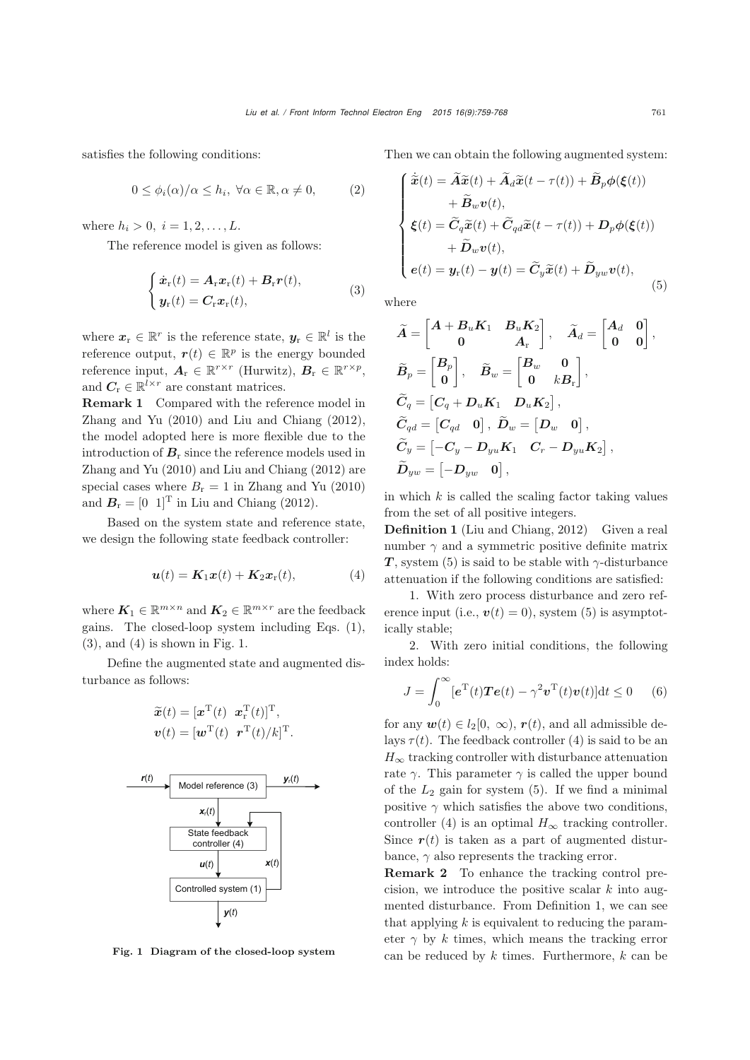satisfies the following conditions:

$$
0 \le \phi_i(\alpha)/\alpha \le h_i, \ \forall \alpha \in \mathbb{R}, \alpha \neq 0, \tag{2}
$$

where  $h_i > 0, i = 1, 2, ..., L$ .

The reference model is given as follows:

$$
\begin{cases} \dot{\boldsymbol{x}}_{\mathrm{r}}(t) = \boldsymbol{A}_{\mathrm{r}} \boldsymbol{x}_{\mathrm{r}}(t) + \boldsymbol{B}_{\mathrm{r}} \boldsymbol{r}(t), \\ \boldsymbol{y}_{\mathrm{r}}(t) = \boldsymbol{C}_{\mathrm{r}} \boldsymbol{x}_{\mathrm{r}}(t), \end{cases}
$$
 (3)

where  $x_r \in \mathbb{R}^r$  is the reference state,  $y_r \in \mathbb{R}^l$  is the reference output,  $r(t) \in \mathbb{R}^p$  is the energy bounded reference input,  $A_r \in \mathbb{R}^{r \times r}$  (Hurwitz),  $B_r \in \mathbb{R}^{r \times p}$ , and  $C_r \in \mathbb{R}^{l \times r}$  are constant matrices.

Remark 1 Compared with the reference model in [Zhang and Yu](#page-9-3) [\(2010](#page-9-3)) and [Liu and Chiang](#page-8-6) [\(2012\)](#page-8-6), the model adopted here is more flexible due to the introduction of  $B_r$  since the reference models used in [Zhang and Yu](#page-9-3) [\(2010](#page-9-3)) and [Liu and Chiang](#page-8-6) [\(2012\)](#page-8-6) are special cases where  $B_r = 1$  in [Zhang and Yu](#page-9-3) [\(2010](#page-9-3)) and  $B_r = [0 \ 1]^T$  in [Liu and Chiang](#page-8-6) [\(2012](#page-8-6)).

Based on the system state and reference state, we design the following state feedback controller:

$$
\boldsymbol{u}(t) = \boldsymbol{K}_1 \boldsymbol{x}(t) + \boldsymbol{K}_2 \boldsymbol{x}_r(t), \tag{4}
$$

where  $K_1 \in \mathbb{R}^{m \times n}$  and  $K_2 \in \mathbb{R}^{m \times r}$  are the feedback gains. The closed-loop system including Eqs. (1),  $(3)$ , and  $(4)$  is shown in Fig. 1.

Define the augmented state and augmented disturbance as follows:

$$
\widetilde{\boldsymbol{x}}(t) = [\boldsymbol{x}^{\mathrm{T}}(t) \ \ \boldsymbol{x}_r^{\mathrm{T}}(t)]^{\mathrm{T}},
$$

$$
\boldsymbol{v}(t) = [\boldsymbol{w}^{\mathrm{T}}(t) \ \ \boldsymbol{r}^{\mathrm{T}}(t)/k]^{\mathrm{T}}.
$$



Fig. 1 Diagram of the closed-loop system

Then we can obtain the following augmented system:

$$
\begin{cases}\n\tilde{\mathbf{x}}(t) = \tilde{\mathbf{A}}\tilde{\mathbf{x}}(t) + \tilde{\mathbf{A}}_d\tilde{\mathbf{x}}(t - \tau(t)) + \tilde{\mathbf{B}}_p\phi(\xi(t)) \\
+ \tilde{\mathbf{B}}_w\mathbf{v}(t), \\
\xi(t) = \tilde{C}_q\tilde{\mathbf{x}}(t) + \tilde{C}_{qd}\tilde{\mathbf{x}}(t - \tau(t)) + \mathbf{D}_p\phi(\xi(t)) \\
+ \tilde{\mathbf{D}}_w\mathbf{v}(t), \\
e(t) = \mathbf{y}_r(t) - \mathbf{y}(t) = \tilde{C}_y\tilde{\mathbf{x}}(t) + \tilde{\mathbf{D}}_{yw}\mathbf{v}(t),\n\end{cases} (5)
$$

where

˙

$$
\begin{aligned} &\widetilde{A}=\begin{bmatrix}A+B_uK_1&B_uK_2\\0&A_{\rm r}\end{bmatrix},\quad \widetilde{A}_d=\begin{bmatrix}A_d&0\\0&0\end{bmatrix},\\ &\widetilde{B}_p=\begin{bmatrix}B_p\\0\end{bmatrix},\quad \widetilde{B}_w=\begin{bmatrix}B_w&0\\0&kB_{\rm r}\end{bmatrix},\\ &\widetilde{C}_q=\begin{bmatrix}C_q+D_uK_1&D_uK_2\end{bmatrix},\\ &\widetilde{C}_{qd}=\begin{bmatrix}C_{qd}&0\end{bmatrix},\quad \widetilde{D}_w=\begin{bmatrix}D_w&0\end{bmatrix},\\ &\widetilde{C}_y=\begin{bmatrix}-C_y-D_{yu}K_1&C_r-D_{yu}K_2\end{bmatrix},\\ &\widetilde{D}_{yw}=\begin{bmatrix}-D_{yw}&0\end{bmatrix}, \end{aligned}
$$

in which  $k$  is called the scaling factor taking values from the set of all positive integers.

Definition 1 [\(Liu and Chiang](#page-8-6), [2012\)](#page-8-6) Given a real number  $\gamma$  and a symmetric positive definite matrix *T*, system (5) is said to be stable with  $\gamma$ -disturbance attenuation if the following conditions are satisfied:

1. With zero process disturbance and zero reference input (i.e.,  $v(t)=0$ ), system (5) is asymptotically stable;

2. With zero initial conditions, the following index holds:

$$
J = \int_0^\infty [e^{\mathrm{T}}(t)\boldsymbol{T}e(t) - \gamma^2 \boldsymbol{v}^{\mathrm{T}}(t)\boldsymbol{v}(t)]\mathrm{d}t \le 0 \qquad (6)
$$

for any  $w(t) \in l_2[0, \infty)$ ,  $r(t)$ , and all admissible delays  $\tau(t)$ . The feedback controller (4) is said to be an  $H_{\infty}$  tracking controller with disturbance attenuation rate  $\gamma$ . This parameter  $\gamma$  is called the upper bound of the  $L_2$  gain for system  $(5)$ . If we find a minimal positive  $\gamma$  which satisfies the above two conditions, controller (4) is an optimal  $H_{\infty}$  tracking controller. Since  $r(t)$  is taken as a part of augmented disturbance,  $\gamma$  also represents the tracking error.

Remark 2 To enhance the tracking control precision, we introduce the positive scalar  $k$  into augmented disturbance. From Definition 1, we can see that applying  $k$  is equivalent to reducing the parameter  $\gamma$  by k times, which means the tracking error can be reduced by  $k$  times. Furthermore,  $k$  can be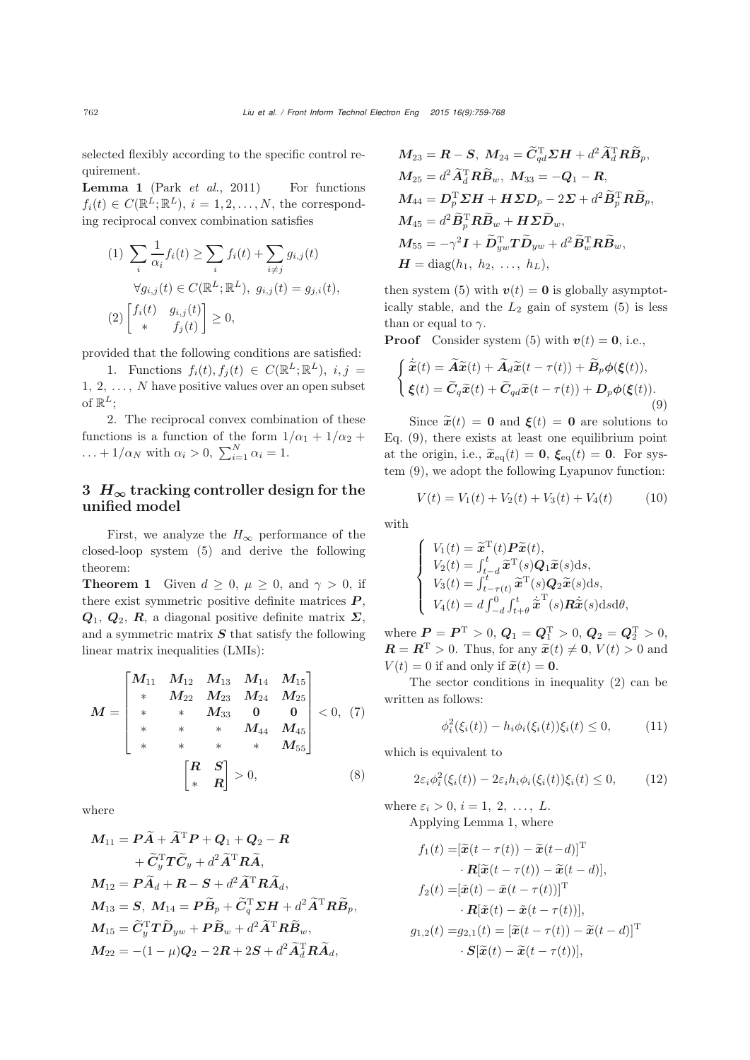selected flexibly according to the specific control requirement.

Lemma 1 (Park *[et al.](#page-8-15)*, [2011](#page-8-15)) For functions  $f_i(t) \in C(\mathbb{R}^L;\mathbb{R}^L), i = 1, 2, \ldots, N$ , the corresponding reciprocal convex combination satisfies

$$
(1) \sum_{i} \frac{1}{\alpha_i} f_i(t) \ge \sum_{i} f_i(t) + \sum_{i \ne j} g_{i,j}(t)
$$

$$
\forall g_{i,j}(t) \in C(\mathbb{R}^L; \mathbb{R}^L), \ g_{i,j}(t) = g_{j,i}(t),
$$

$$
(2) \begin{bmatrix} f_i(t) & g_{i,j}(t) \\ * & f_j(t) \end{bmatrix} \ge 0,
$$

provided that the following conditions are satisfied:

1. Functions  $f_i(t), f_i(t) \in C(\mathbb{R}^L; \mathbb{R}^L), i, j =$  $1, 2, \ldots, N$  have positive values over an open subset of  $\mathbb{R}^L$ :

2. The reciprocal convex combination of these functions is a function of the form  $1/\alpha_1 + 1/\alpha_2 +$  $\ldots + 1/\alpha_N$  with  $\alpha_i > 0$ ,  $\sum_{i=1}^N \alpha_i = 1$ .

# 3  $H_{\infty}$  tracking controller design for the unified model

First, we analyze the  $H_{\infty}$  performance of the closed-loop system (5) and derive the following theorem:

**Theorem 1** Given  $d \geq 0$ ,  $\mu \geq 0$ , and  $\gamma > 0$ , if there exist symmetric positive definite matrices *P* , *Q*1, *Q*2, *R*, a diagonal positive definite matrix *Σ*, and a symmetric matrix *S* that satisfy the following linear matrix inequalities (LMIs):

$$
M = \begin{bmatrix} M_{11} & M_{12} & M_{13} & M_{14} & M_{15} \\ * & M_{22} & M_{23} & M_{24} & M_{25} \\ * & * & M_{33} & 0 & 0 \\ * & * & * & M_{44} & M_{45} \\ * & * & * & * & M_{55} \end{bmatrix} < 0, (7)
$$
\n
$$
\begin{bmatrix} R & S \\ * & R \end{bmatrix} > 0, \tag{8}
$$

where

$$
M_{11} = P\widetilde{A} + \widetilde{A}^{\mathrm{T}}P + Q_1 + Q_2 - R
$$
  
+  $\widetilde{C}_y^{\mathrm{T}}T\widetilde{C}_y + d^2\widetilde{A}^{\mathrm{T}}R\widetilde{A},$   

$$
M_{12} = P\widetilde{A}_d + R - S + d^2\widetilde{A}^{\mathrm{T}}R\widetilde{A}_d,
$$
  

$$
M_{13} = S, M_{14} = P\widetilde{B}_p + \widetilde{C}_q^{\mathrm{T}}\Sigma H + d^2\widetilde{A}^{\mathrm{T}}R\widetilde{B}_p,
$$
  

$$
M_{15} = \widetilde{C}_y^{\mathrm{T}}T\widetilde{D}_{yw} + P\widetilde{B}_w + d^2\widetilde{A}^{\mathrm{T}}R\widetilde{B}_w,
$$
  

$$
M_{22} = -(1 - \mu)Q_2 - 2R + 2S + d^2\widetilde{A}_d^{\mathrm{T}}R\widetilde{A}_d,
$$

$$
M_{23} = \mathbf{R} - \mathbf{S}, \ M_{24} = \tilde{C}_{qd}^{\mathrm{T}} \Sigma \mathbf{H} + d^2 \tilde{A}_d^{\mathrm{T}} \mathbf{R} \tilde{B}_p, M_{25} = d^2 \tilde{A}_d^{\mathrm{T}} \mathbf{R} \tilde{B}_w, \ M_{33} = -\mathbf{Q}_1 - \mathbf{R}, M_{44} = \mathbf{D}_p^{\mathrm{T}} \Sigma \mathbf{H} + \mathbf{H} \Sigma \mathbf{D}_p - 2 \Sigma + d^2 \tilde{B}_p^{\mathrm{T}} \mathbf{R} \tilde{B}_p, M_{45} = d^2 \tilde{B}_p^{\mathrm{T}} \mathbf{R} \tilde{B}_w + \mathbf{H} \Sigma \tilde{D}_w, M_{55} = -\gamma^2 \mathbf{I} + \tilde{D}_{yw}^{\mathrm{T}} \mathbf{T} \tilde{D}_{yw} + d^2 \tilde{B}_w^{\mathrm{T}} \mathbf{R} \tilde{B}_w, \mathbf{H} = \text{diag}(h_1, h_2, \ldots, h_L),
$$

then system (5) with  $v(t) = 0$  is globally asymptotically stable, and the  $L_2$  gain of system  $(5)$  is less than or equal to  $\gamma$ .

**Proof** Consider system (5) with  $v(t) = 0$ , i.e.,

$$
\begin{cases}\n\dot{\tilde{\mathbf{x}}}(t) = \tilde{A}\tilde{\mathbf{x}}(t) + \tilde{A}_d\tilde{\mathbf{x}}(t - \tau(t)) + \tilde{B}_p\phi(\xi(t)), \\
\xi(t) = \tilde{C}_q\tilde{\mathbf{x}}(t) + \tilde{C}_{qd}\tilde{\mathbf{x}}(t - \tau(t)) + D_p\phi(\xi(t)).\n\end{cases}
$$
\n(9)

Since  $\tilde{x}(t) = 0$  and  $\xi(t) = 0$  are solutions to Eq. (9), there exists at least one equilibrium point at the origin, i.e.,  $\tilde{\boldsymbol{x}}_{eq}(t) = \boldsymbol{0}$ ,  $\boldsymbol{\xi}_{eq}(t) = \boldsymbol{0}$ . For system (9), we adopt the following Lyapunov function:

$$
V(t) = V_1(t) + V_2(t) + V_3(t) + V_4(t)
$$
 (10)

with

$$
\begin{cases}\nV_1(t) = \widetilde{\mathbf{x}}^{\mathrm{T}}(t) \mathbf{P} \widetilde{\mathbf{x}}(t), \\
V_2(t) = \int_{t-d}^{t} \widetilde{\mathbf{x}}^{\mathrm{T}}(s) \mathbf{Q}_1 \widetilde{\mathbf{x}}(s) \mathrm{d}s, \\
V_3(t) = \int_{t-\tau(t)}^{t} \widetilde{\mathbf{x}}^{\mathrm{T}}(s) \mathbf{Q}_2 \widetilde{\mathbf{x}}(s) \mathrm{d}s, \\
V_4(t) = d \int_{-d}^{0} \int_{t+\theta}^{t} \widetilde{\mathbf{x}}^{\mathrm{T}}(s) \mathbf{R} \widetilde{\mathbf{x}}(s) \mathrm{d}s \mathrm{d}\theta,\n\end{cases}
$$

where  $P = P^{T} > 0$ ,  $Q_1 = Q_1^{T} > 0$ ,  $Q_2 = Q_2^{T} > 0$ ,  $\mathbf{R} = \mathbf{R}^{\mathrm{T}} > 0$ . Thus, for any  $\widetilde{\mathbf{x}}(t) \neq \mathbf{0}$ ,  $V(t) > 0$  and  $V(t)=0$  if and only if  $\tilde{\boldsymbol{x}}(t) = \boldsymbol{0}$ .

The sector conditions in inequality (2) can be written as follows:

$$
\phi_i^2(\xi_i(t)) - h_i \phi_i(\xi_i(t)) \xi_i(t) \le 0, \tag{11}
$$

which is equivalent to

$$
2\varepsilon_i \phi_i^2(\xi_i(t)) - 2\varepsilon_i h_i \phi_i(\xi_i(t))\xi_i(t) \le 0, \qquad (12)
$$

where  $\varepsilon_i > 0$ ,  $i = 1, 2, \ldots, L$ . Applying Lemma 1, where

$$
f_1(t) = [\widetilde{\mathbf{x}}(t - \tau(t)) - \widetilde{\mathbf{x}}(t - d)]^{\mathrm{T}}
$$

$$
\cdot \mathbf{R}[\widetilde{\mathbf{x}}(t - \tau(t)) - \widetilde{\mathbf{x}}(t - d)],
$$

$$
f_2(t) = [\widetilde{\mathbf{x}}(t) - \widetilde{\mathbf{x}}(t - \tau(t))]^{\mathrm{T}}
$$

$$
\cdot \mathbf{R}[\widetilde{\mathbf{x}}(t) - \widetilde{\mathbf{x}}(t - \tau(t))],
$$

$$
g_{1,2}(t) = g_{2,1}(t) = [\widetilde{\mathbf{x}}(t - \tau(t)) - \widetilde{\mathbf{x}}(t - d)]^{\mathrm{T}}
$$

$$
\cdot \mathbf{S}[\widetilde{\mathbf{x}}(t) - \widetilde{\mathbf{x}}(t - \tau(t))],
$$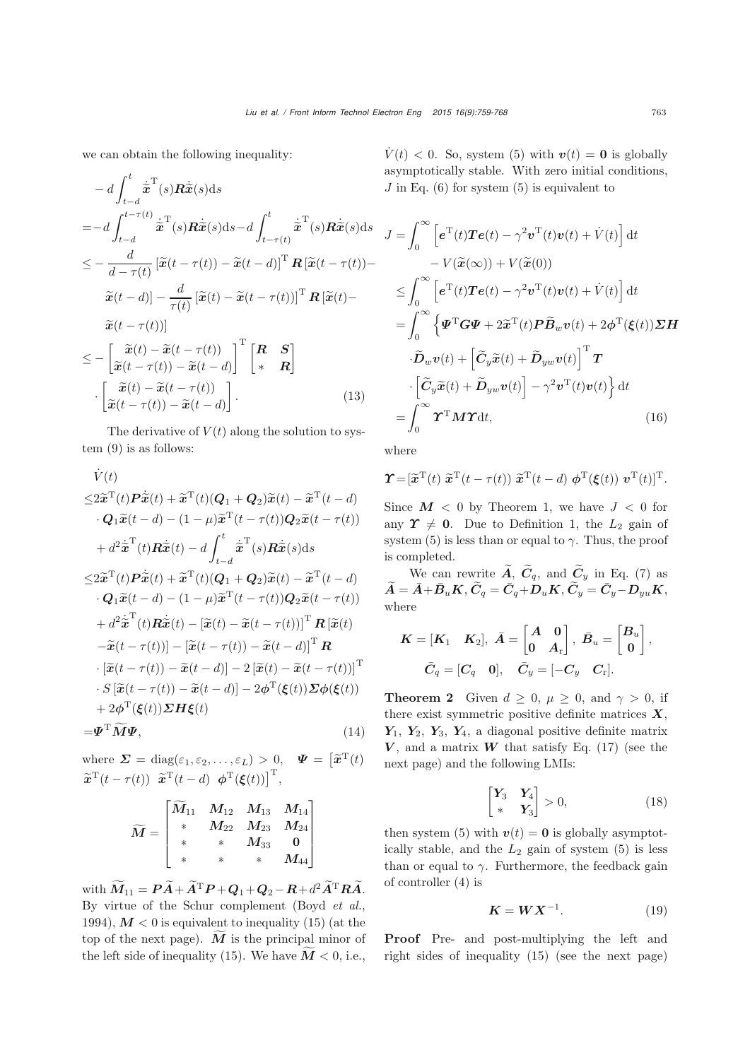we can obtain the following inequality:

$$
- d \int_{t-d}^{t} \dot{\tilde{\mathbf{x}}}^{\mathrm{T}}(s) \mathbf{R} \dot{\tilde{\mathbf{x}}}(s) ds
$$
  
\n
$$
= - d \int_{t-d}^{t-\tau(t)} \dot{\tilde{\mathbf{x}}}^{\mathrm{T}}(s) \mathbf{R} \dot{\tilde{\mathbf{x}}}(s) ds - d \int_{t-\tau(t)}^{t} \dot{\tilde{\mathbf{x}}}^{\mathrm{T}}(s) \mathbf{R} \dot{\tilde{\mathbf{x}}}(s) ds
$$
  
\n
$$
\leq - \frac{d}{d-\tau(t)} \left[ \tilde{\mathbf{x}}(t-\tau(t)) - \tilde{\mathbf{x}}(t-d) \right]^{\mathrm{T}} \mathbf{R} \left[ \tilde{\mathbf{x}}(t-\tau(t)) - \tilde{\mathbf{x}}(t-d) \right] - \frac{d}{\tau(t)} \left[ \tilde{\mathbf{x}}(t) - \tilde{\mathbf{x}}(t-\tau(t)) \right]^{\mathrm{T}} \mathbf{R} \left[ \tilde{\mathbf{x}}(t) - \tilde{\mathbf{x}}(t-\tau(t)) \right]
$$
  
\n
$$
\leq - \left[ \tilde{\mathbf{x}}(t-\tau(t)) \right]
$$
  
\n
$$
\leq - \left[ \tilde{\mathbf{x}}(t) - \tilde{\mathbf{x}}(t-\tau(t)) \right]^{\mathrm{T}} \left[ \begin{array}{cc} \mathbf{R} & \mathbf{S} \\ * & \mathbf{R} \end{array} \right]
$$
  
\n
$$
\cdot \left[ \tilde{\mathbf{x}}(t) - \tilde{\mathbf{x}}(t-\tau(t)) \right]
$$
  
\n
$$
\left[ \tilde{\mathbf{x}}(t-\tau(t)) - \tilde{\mathbf{x}}(t-d) \right].
$$
  
\n(13)

The derivative of  $V(t)$  along the solution to system (9) is as follows:

$$
\dot{V}(t)
$$
\n
$$
\leq 2\tilde{x}^{T}(t)\tilde{P}\dot{\tilde{x}}(t) + \tilde{x}^{T}(t)(Q_{1} + Q_{2})\tilde{x}(t) - \tilde{x}^{T}(t - d)
$$
\n
$$
\cdot Q_{1}\tilde{x}(t - d) - (1 - \mu)\tilde{x}^{T}(t - \tau(t))Q_{2}\tilde{x}(t - \tau(t))
$$
\n
$$
+ d^{2}\tilde{x}^{T}(t)\tilde{R}\dot{\tilde{x}}(t) - d\int_{t-d}^{t}\tilde{x}^{T}(s)\tilde{R}\dot{\tilde{x}}(s)ds
$$
\n
$$
\leq 2\tilde{x}^{T}(t)\tilde{P}\dot{\tilde{x}}(t) + \tilde{x}^{T}(t)(Q_{1} + Q_{2})\tilde{x}(t) - \tilde{x}^{T}(t - d)
$$
\n
$$
\cdot Q_{1}\tilde{x}(t - d) - (1 - \mu)\tilde{x}^{T}(t - \tau(t))Q_{2}\tilde{x}(t - \tau(t))
$$
\n
$$
+ d^{2}\dot{\tilde{x}}^{T}(t)\tilde{R}\dot{\tilde{x}}(t) - [\tilde{x}(t) - \tilde{x}(t - \tau(t))]^{T}\tilde{R}[\tilde{x}(t)
$$
\n
$$
-\tilde{x}(t - \tau(t))] - [\tilde{x}(t - \tau(t)) - \tilde{x}(t - d)]^{T}\tilde{R}
$$
\n
$$
\cdot [\tilde{x}(t - \tau(t)) - \tilde{x}(t - d)] - 2[\tilde{x}(t) - \tilde{x}(t - \tau(t))]^{T}
$$
\n
$$
\cdot S[\tilde{x}(t - \tau(t)) - \tilde{x}(t - d)] - 2\varphi^{T}(\xi(t))\tilde{\Sigma}\varphi(\xi(t))
$$
\n
$$
+ 2\varphi^{T}(\xi(t))\tilde{\Sigma}H\xi(t)
$$
\n
$$
= \tilde{\Psi}^{T}\tilde{M}\Psi,
$$
\n(14)

where 
$$
\Sigma = \text{diag}(\varepsilon_1, \varepsilon_2, ..., \varepsilon_L) > 0
$$
,  $\Psi = [\tilde{\boldsymbol{x}}^T(t)]$   
 $\tilde{\boldsymbol{x}}^T(t - \tau(t)) \tilde{\boldsymbol{x}}^T(t - d) \boldsymbol{\phi}^T(\boldsymbol{\xi}(t))]^T$ ,

$$
\widetilde{M} = \begin{bmatrix} \widetilde{M}_{11} & M_{12} & M_{13} & M_{14} \\ * & M_{22} & M_{23} & M_{24} \\ * & * & M_{33} & 0 \\ * & * & * & M_{44} \end{bmatrix}
$$

with  $\widetilde{M}_{11} = P\widetilde{A} + \widetilde{A}^T P + Q_1 + Q_2 - R + d^2 \widetilde{A}^T R \widetilde{A}.$ By virtue of the Schur complement [\(Boyd](#page-8-16) *et al.*, [1994](#page-8-16)),  $M < 0$  is equivalent to inequality (15) (at the top of the next page). *<sup>M</sup>* is the principal minor of the left side of inequality (15). We have  $\tilde{M}$  < 0, i.e.,

 $V(t) < 0$ . So, system (5) with  $v(t) = 0$  is globally asymptotically stable. With zero initial conditions,  $J$  in Eq. (6) for system (5) is equivalent to

$$
J = \int_0^\infty \left[ e^{\mathrm{T}}(t) \mathbf{T}e(t) - \gamma^2 \mathbf{v}^{\mathrm{T}}(t) \mathbf{v}(t) + \dot{V}(t) \right] dt
$$
  
\n
$$
- V(\widetilde{\mathbf{x}}(\infty)) + V(\widetilde{\mathbf{x}}(0))
$$
  
\n
$$
\leq \int_0^\infty \left[ e^{\mathrm{T}}(t) \mathbf{T}e(t) - \gamma^2 \mathbf{v}^{\mathrm{T}}(t) \mathbf{v}(t) + \dot{V}(t) \right] dt
$$
  
\n
$$
= \int_0^\infty \left\{ \mathbf{\Psi}^{\mathrm{T}} \mathbf{G} \mathbf{\Psi} + 2 \widetilde{\mathbf{x}}^{\mathrm{T}}(t) \mathbf{P} \widetilde{\mathbf{B}}_w \mathbf{v}(t) + 2 \phi^{\mathrm{T}}(\xi(t)) \mathbf{\Sigma} \mathbf{H}
$$
  
\n
$$
\cdot \widetilde{\mathbf{D}}_w \mathbf{v}(t) + \left[ \widetilde{\mathbf{C}}_y \widetilde{\mathbf{x}}(t) + \widetilde{\mathbf{D}}_{yw} \mathbf{v}(t) \right]^{\mathrm{T}} \mathbf{T}
$$
  
\n
$$
\cdot \left[ \widetilde{\mathbf{C}}_y \widetilde{\mathbf{x}}(t) + \widetilde{\mathbf{D}}_{yw} \mathbf{v}(t) \right] - \gamma^2 \mathbf{v}^{\mathrm{T}}(t) \mathbf{v}(t) \right\} dt
$$
  
\n
$$
= \int_0^\infty \mathbf{\Upsilon}^{\mathrm{T}} \mathbf{M} \mathbf{\Upsilon} dt, \qquad (16)
$$

where

$$
\boldsymbol{\Upsilon} = [\widetilde{\boldsymbol{x}}^{\mathrm{T}}(t) \ \widetilde{\boldsymbol{x}}^{\mathrm{T}}(t-\tau(t)) \ \widetilde{\boldsymbol{x}}^{\mathrm{T}}(t-d) \ \boldsymbol{\phi}^{\mathrm{T}}(\boldsymbol{\xi}(t)) \ \boldsymbol{v}^{\mathrm{T}}(t)]^{\mathrm{T}}.
$$

Since  $M < 0$  by Theorem 1, we have  $J < 0$  for any  $\Upsilon \neq 0$ . Due to Definition 1, the  $L_2$  gain of system (5) is less than or equal to  $\gamma$ . Thus, the proof is completed.

We can rewrite  $\widetilde{A}$ ,  $\widetilde{C}_q$ , and  $\widetilde{C}_y$  in Eq. (7) as  $\widetilde{\bm{A}} = \bar{\bm{A}} + \bar{\bm{B}}_u \bm{K}, \widetilde{\bm{C}}_q = \bar{\bm{C}}_q + \bm{D}_u \bm{K}, \widetilde{\bm{C}}_y = \bar{\bm{C}}_y - \bm{D}_{yu} \bm{K},$ where

$$
\begin{aligned} \boldsymbol{K} = & \left[\boldsymbol{K}_{1} \quad \boldsymbol{K}_{2}\right], \ \bar{\boldsymbol{A}} = \begin{bmatrix} \boldsymbol{A} & \boldsymbol{0} \\ \boldsymbol{0} & \boldsymbol{A}_{\mathrm{r}} \end{bmatrix}, \ \bar{\boldsymbol{B}}_{u} = \begin{bmatrix} \boldsymbol{B}_{u} \\ \boldsymbol{0} \end{bmatrix}, \\ & \bar{\boldsymbol{C}}_{q} = \begin{bmatrix} \boldsymbol{C}_{q} & \boldsymbol{0} \end{bmatrix}, \quad \bar{\boldsymbol{C}}_{y} = \begin{bmatrix} - \boldsymbol{C}_{y} & \boldsymbol{C}_{\mathrm{r}} \end{bmatrix}. \end{aligned}
$$

**Theorem 2** Given  $d \geq 0$ ,  $\mu \geq 0$ , and  $\gamma > 0$ , if there exist symmetric positive definite matrices *X*, *Y*1, *Y*2, *Y*3, *Y*4, a diagonal positive definite matrix  $V$ , and a matrix  $W$  that satisfy Eq. (17) (see the next page) and the following LMIs:

$$
\begin{bmatrix} \mathbf{Y}_3 & \mathbf{Y}_4 \\ * & \mathbf{Y}_3 \end{bmatrix} > 0, \tag{18}
$$

then system (5) with  $v(t) = 0$  is globally asymptotically stable, and the  $L_2$  gain of system  $(5)$  is less than or equal to  $\gamma$ . Furthermore, the feedback gain of controller (4) is

$$
K = W X^{-1}.
$$
 (19)

Proof Pre- and post-multiplying the left and right sides of inequality (15) (see the next page)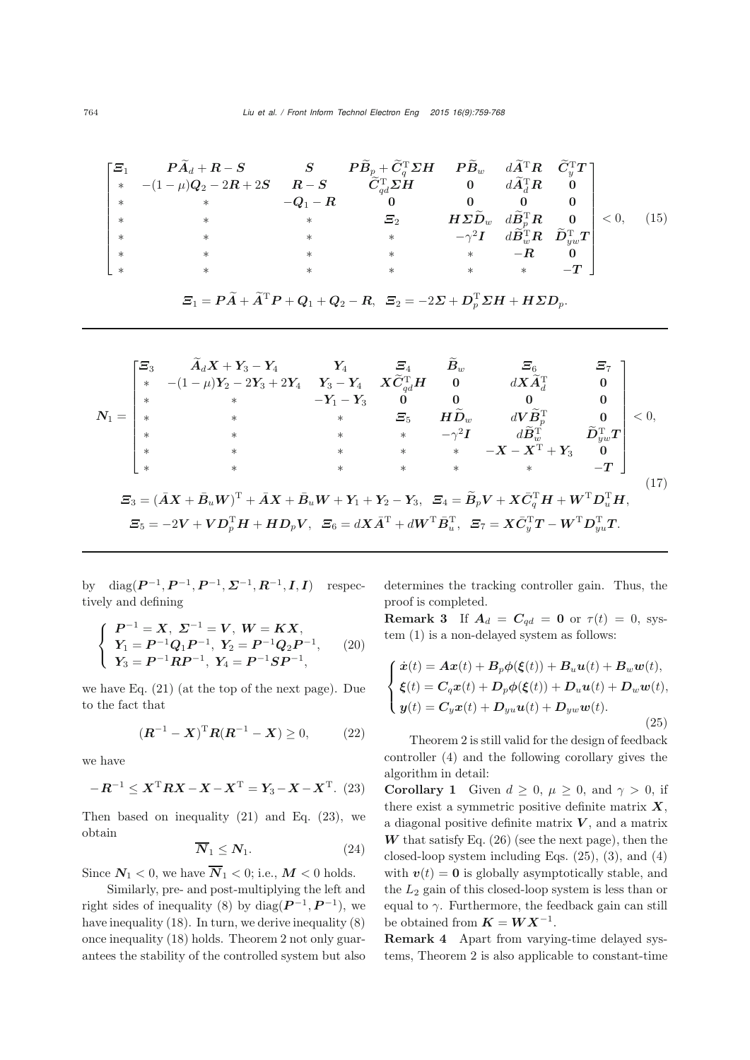| $\lceil \varXi_1 \rceil$ | $\begin{aligned} \boldsymbol{P}\widetilde{\boldsymbol{A}}_{d}+\boldsymbol{R}-\boldsymbol{S} \qquad \qquad & \boldsymbol{S} \qquad \boldsymbol{P}\widetilde{\boldsymbol{B}}_{p}+\widetilde{\boldsymbol{C}}_{q}^{\mathrm{T}}\boldsymbol{\Sigma}\boldsymbol{H} \quad \boldsymbol{P}\widetilde{\boldsymbol{B}}_{w} \quad d\widetilde{\boldsymbol{A}}^{\mathrm{T}}\boldsymbol{R} \quad \widetilde{\boldsymbol{C}}_{y}^{\mathrm{T}}\boldsymbol{T} \, \, \end{aligned}$ |            |            |                                                                                                                                                                                                                        |                                                      |              |      |
|--------------------------|------------------------------------------------------------------------------------------------------------------------------------------------------------------------------------------------------------------------------------------------------------------------------------------------------------------------------------------------------------------------------------------------------------------------------------------------------------------|------------|------------|------------------------------------------------------------------------------------------------------------------------------------------------------------------------------------------------------------------------|------------------------------------------------------|--------------|------|
| $*$                      | $-(1-\mu)\boldsymbol{Q}_2-2\boldsymbol{R}+2\boldsymbol{S} \qquad \boldsymbol{R}-\boldsymbol{S} \qquad \quad \widetilde{\boldsymbol{C}}_{ad}^{\rm T}\boldsymbol{\Sigma}\boldsymbol{H}$                                                                                                                                                                                                                                                                            |            |            | $\mathbf{0}$                                                                                                                                                                                                           | $d\widetilde{\mathbf{A}}_{d}^{\mathrm{T}}\mathbf{R}$ |              |      |
| $\ast$                   | $*$                                                                                                                                                                                                                                                                                                                                                                                                                                                              | $-Q_1 - R$ |            |                                                                                                                                                                                                                        |                                                      |              |      |
|                          |                                                                                                                                                                                                                                                                                                                                                                                                                                                                  | $*$        | $\varXi_2$ | $\left[\begin{array}{ccc} H\mathbf{\Sigma}\widetilde{D}_w & d\widetilde{B}_p^\mathrm{T}\bm{R} & \bm{0} \ -\gamma^2\bm{I} & d\widetilde{B}_w^\mathrm{T}\bm{R} & \widetilde{D}_{yw}^\mathrm{T}\bm{T} \end{array}\right]$ |                                                      | $\vert < 0,$ | (15) |
|                          |                                                                                                                                                                                                                                                                                                                                                                                                                                                                  |            | $\ast$     |                                                                                                                                                                                                                        |                                                      |              |      |
|                          |                                                                                                                                                                                                                                                                                                                                                                                                                                                                  |            |            | $\ast$                                                                                                                                                                                                                 |                                                      |              |      |
|                          |                                                                                                                                                                                                                                                                                                                                                                                                                                                                  |            |            | $\ast$                                                                                                                                                                                                                 | $\ast$                                               |              |      |

$$
\mathbf{\Xi}_1=\mathbf{P}\widetilde{\mathbf{A}}+\widetilde{\mathbf{A}}^{\mathrm{T}}\mathbf{P}+\mathbf{Q}_1+\mathbf{Q}_2-\mathbf{R},\ \ \mathbf{\Xi}_2=-2\mathbf{\Sigma}+\mathbf{D}_p^{\mathrm{T}}\mathbf{\Sigma}\mathbf{H}+\mathbf{H}\mathbf{\Sigma}\mathbf{D}_p.
$$

$$
N_{1} = \begin{bmatrix} \Xi_{3} & \widetilde{A}_{d}X + Y_{3} - Y_{4} & Y_{4} & \Xi_{4} & \widetilde{B}_{w} & \Xi_{6} & \Xi_{7} \\ * & -(1-\mu)Y_{2} - 2Y_{3} + 2Y_{4} & Y_{3} - Y_{4} & X\widetilde{C}_{qd}^{T}H & 0 & dX\widetilde{A}_{d}^{T} & 0 \\ * & * & * & \Xi_{5} & H\widetilde{D}_{w} & dV\widetilde{B}_{p}^{T} & 0 \\ * & * & * & * & * & -\gamma^{2}I & d\widetilde{B}_{w}^{T} & \widetilde{D}_{yw}^{T}T \\ * & * & * & * & * & * & -X - X^{T} + Y_{3} & 0 \\ * & * & * & * & * & * & -T \end{bmatrix} < 0,
$$
  

$$
\Xi_{3} = (\bar{A}X + \bar{B}_{u}W)^{T} + \bar{A}X + \bar{B}_{u}W + Y_{1} + Y_{2} - Y_{3}, \ \Xi_{4} = \widetilde{B}_{p}V + X\bar{C}_{q}^{T}H + W^{T}D_{u}^{T}H,
$$

$$
\Xi_{5} = -2V + VD_{p}^{T}H + HD_{p}V, \ \Xi_{6} = dX\bar{A}^{T} + dW^{T}\bar{B}_{u}^{T}, \ \Xi_{7} = X\bar{C}_{y}^{T}T - W^{T}D_{yu}^{T}T.
$$

$$
(17)
$$

by diag(*P* <sup>−</sup><sup>1</sup>, *P* <sup>−</sup><sup>1</sup>, *P* <sup>−</sup><sup>1</sup>, *Σ*−<sup>1</sup>, *R*−<sup>1</sup>, *I*, *I*) respectively and defining

$$
\begin{cases}\nP^{-1} = X, \ \Sigma^{-1} = V, \ W = KX, \\
Y_1 = P^{-1}Q_1P^{-1}, \ Y_2 = P^{-1}Q_2P^{-1}, \\
Y_3 = P^{-1}RP^{-1}, \ Y_4 = P^{-1}SP^{-1},\n\end{cases} (20)
$$

we have Eq. (21) (at the top of the next page). Due to the fact that

$$
(\mathbf{R}^{-1} - \mathbf{X})^{\mathrm{T}} \mathbf{R} (\mathbf{R}^{-1} - \mathbf{X}) \ge 0, \quad (22)
$$

we have

$$
-R^{-1} \leq X^{\mathrm{T}} R X - X - X^{\mathrm{T}} = Y_3 - X - X^{\mathrm{T}}. (23)
$$

Then based on inequality  $(21)$  and Eq.  $(23)$ , we obtain

$$
\overline{N}_1 \le N_1. \tag{24}
$$

Since  $N_1 < 0$ , we have  $\overline{N}_1 < 0$ ; i.e.,  $M < 0$  holds.

Similarly, pre- and post-multiplying the left and right sides of inequality (8) by diag( $\mathbf{P}^{-1}, \mathbf{P}^{-1}$ ), we have inequality (18). In turn, we derive inequality (8) once inequality (18) holds. Theorem 2 not only guarantees the stability of the controlled system but also determines the tracking controller gain. Thus, the proof is completed.

**Remark 3** If  $A_d = C_{qd} = 0$  or  $\tau(t) = 0$ , system (1) is a non-delayed system as follows:

$$
\begin{cases}\n\dot{x}(t) = Ax(t) + B_p \phi(\xi(t)) + B_u u(t) + B_w w(t), \\
\xi(t) = C_q x(t) + D_p \phi(\xi(t)) + D_u u(t) + D_w w(t), \\
y(t) = C_y x(t) + D_{yu} u(t) + D_{yw} w(t).\n\end{cases}
$$
\n(25)

Theorem 2 is still valid for the design of feedback controller (4) and the following corollary gives the algorithm in detail:

**Corollary 1** Given  $d \geq 0$ ,  $\mu \geq 0$ , and  $\gamma > 0$ , if there exist a symmetric positive definite matrix *X*, a diagonal positive definite matrix *V* , and a matrix  $W$  that satisfy Eq.  $(26)$  (see the next page), then the closed-loop system including Eqs.  $(25)$ ,  $(3)$ , and  $(4)$ with  $v(t) = 0$  is globally asymptotically stable, and the  $L_2$  gain of this closed-loop system is less than or equal to  $\gamma$ . Furthermore, the feedback gain can still be obtained from  $K = W X^{-1}$ .

Remark 4 Apart from varying-time delayed systems, Theorem 2 is also applicable to constant-time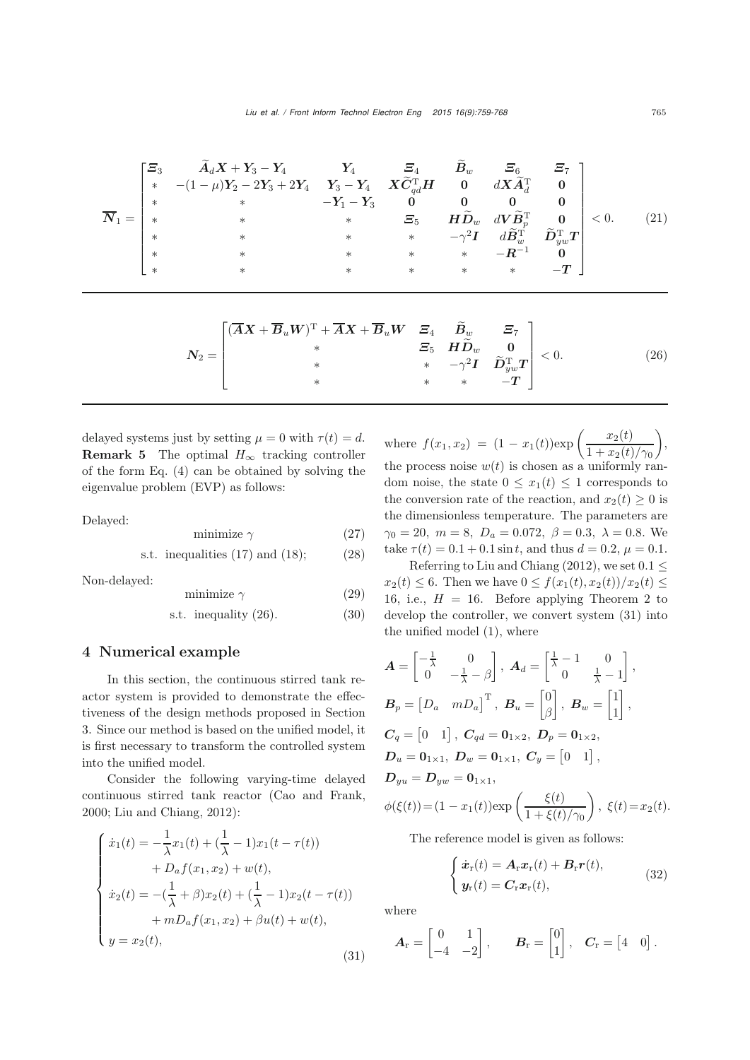$$
\overline{N}_{1} = \begin{bmatrix} \Xi_{3} & \widetilde{A}_{d}X + Y_{3} - Y_{4} & Y_{4} & \Xi_{4} & \widetilde{B}_{w} & \Xi_{6} & \Xi_{7} \\ * & -(1-\mu)Y_{2} - 2Y_{3} + 2Y_{4} & Y_{3} - Y_{4} & X\widetilde{C}_{qd}^{T}H & 0 & dX\widetilde{A}_{d}^{T} & 0 \\ * & * & * & \Xi_{5} & H\widetilde{D}_{w} & dV\widetilde{B}_{p}^{T} & 0 \\ * & * & * & * & * & -\gamma^{2}I & d\widetilde{B}_{w}^{T} & \widetilde{D}_{yw}^{T}T \\ * & * & * & * & * & -R^{-1} & 0 \\ * & * & * & * & * & * & -T \end{bmatrix} < 0. \tag{21}
$$

$$
N_2 = \begin{bmatrix} (\overline{A}X + \overline{B}_u W)^T + \overline{A}X + \overline{B}_u W & \Sigma_4 & \widetilde{B}_w & \Sigma_7 \\ * & \Sigma_5 & H\widetilde{D}_w & 0 \\ * & * & -\gamma^2 I & \widetilde{D}_{yw}^T T \\ * & * & * & -T \end{bmatrix} < 0.
$$
 (26)

delayed systems just by setting  $\mu = 0$  with  $\tau(t) = d$ . **Remark 5** The optimal  $H_{\infty}$  tracking controller of the form Eq. (4) can be obtained by solving the eigenvalue problem (EVP) as follows:

Delayed:

$$
minimize \gamma \tag{27}
$$

$$
s.t. inequalities (17) and (18); \t(28)
$$

Non-delayed:

$$
minimize \ \gamma \tag{29}
$$

$$
s.t. inequality (26). \t(30)
$$

## 4 Numerical example

In this section, the continuous stirred tank reactor system is provided to demonstrate the effectiveness of the design methods proposed in Section 3. Since our method is based on the unified model, it is first necessary to transform the controlled system into the unified model.

Consider the following varying-time delayed continuous stirred tank reactor [\(Cao and Frank,](#page-8-10) [2000](#page-8-10); [Liu and Chiang, 2012](#page-8-6)):

$$
\begin{cases}\n\dot{x}_1(t) = -\frac{1}{\lambda}x_1(t) + (\frac{1}{\lambda} - 1)x_1(t - \tau(t)) \\
+ D_a f(x_1, x_2) + w(t), \\
\dot{x}_2(t) = -(\frac{1}{\lambda} + \beta)x_2(t) + (\frac{1}{\lambda} - 1)x_2(t - \tau(t)) \\
+ mD_a f(x_1, x_2) + \beta u(t) + w(t), \\
y = x_2(t),\n\end{cases} (31)
$$

where  $f(x_1, x_2) = (1 - x_1(t)) \exp \left( \frac{x_2(t)}{1 + x_2(t)/\gamma_0} \right)$  $\bigg),$ the process noise  $w(t)$  is chosen as a uniformly random noise, the state  $0 \leq x_1(t) \leq 1$  corresponds to the conversion rate of the reaction, and  $x_2(t) \geq 0$  is the dimensionless temperature. The parameters are  $\gamma_0 = 20, m = 8, D_a = 0.072, \beta = 0.3, \lambda = 0.8$ . We take  $\tau(t) = 0.1 + 0.1 \sin t$ , and thus  $d = 0.2$ ,  $\mu = 0.1$ .

Referring to [Liu and Chiang](#page-8-6) [\(2012](#page-8-6)), we set  $0.1 \leq$  $x_2(t) \leq 6$ . Then we have  $0 \leq f(x_1(t), x_2(t))/x_2(t) \leq$ 16, i.e.,  $H = 16$ . Before applying Theorem 2 to develop the controller, we convert system (31) into the unified model (1), where

$$
A = \begin{bmatrix} -\frac{1}{\lambda} & 0 \\ 0 & -\frac{1}{\lambda} - \beta \end{bmatrix}, A_d = \begin{bmatrix} \frac{1}{\lambda} - 1 & 0 \\ 0 & \frac{1}{\lambda} - 1 \end{bmatrix},
$$
  
\n
$$
B_p = \begin{bmatrix} D_a & mD_a \end{bmatrix}^T, B_u = \begin{bmatrix} 0 \\ \beta \end{bmatrix}, B_w = \begin{bmatrix} 1 \\ 1 \end{bmatrix},
$$
  
\n
$$
C_q = \begin{bmatrix} 0 & 1 \end{bmatrix}, C_{qd} = 0_{1 \times 2}, D_p = 0_{1 \times 2},
$$
  
\n
$$
D_u = 0_{1 \times 1}, D_w = 0_{1 \times 1}, C_y = \begin{bmatrix} 0 & 1 \end{bmatrix},
$$
  
\n
$$
D_{yu} = D_{yw} = 0_{1 \times 1},
$$
  
\n
$$
\phi(\xi(t)) = (1 - x_1(t)) \exp\left(\frac{\xi(t)}{1 + \xi(t)/\gamma_0}\right), \xi(t) = x_2(t).
$$

The reference model is given as follows:

$$
\begin{cases}\n\dot{\boldsymbol{x}}_{\mathrm{r}}(t) = \boldsymbol{A}_{\mathrm{r}} \boldsymbol{x}_{\mathrm{r}}(t) + \boldsymbol{B}_{\mathrm{r}} \boldsymbol{r}(t), \\
\boldsymbol{y}_{\mathrm{r}}(t) = \boldsymbol{C}_{\mathrm{r}} \boldsymbol{x}_{\mathrm{r}}(t),\n\end{cases}
$$
\n(32)

where

$$
\boldsymbol{A}_{\mathrm{r}} = \begin{bmatrix} 0 & 1 \\ -4 & -2 \end{bmatrix}, \qquad \boldsymbol{B}_{\mathrm{r}} = \begin{bmatrix} 0 \\ 1 \end{bmatrix}, \quad \boldsymbol{C}_{\mathrm{r}} = \begin{bmatrix} 4 & 0 \end{bmatrix}.
$$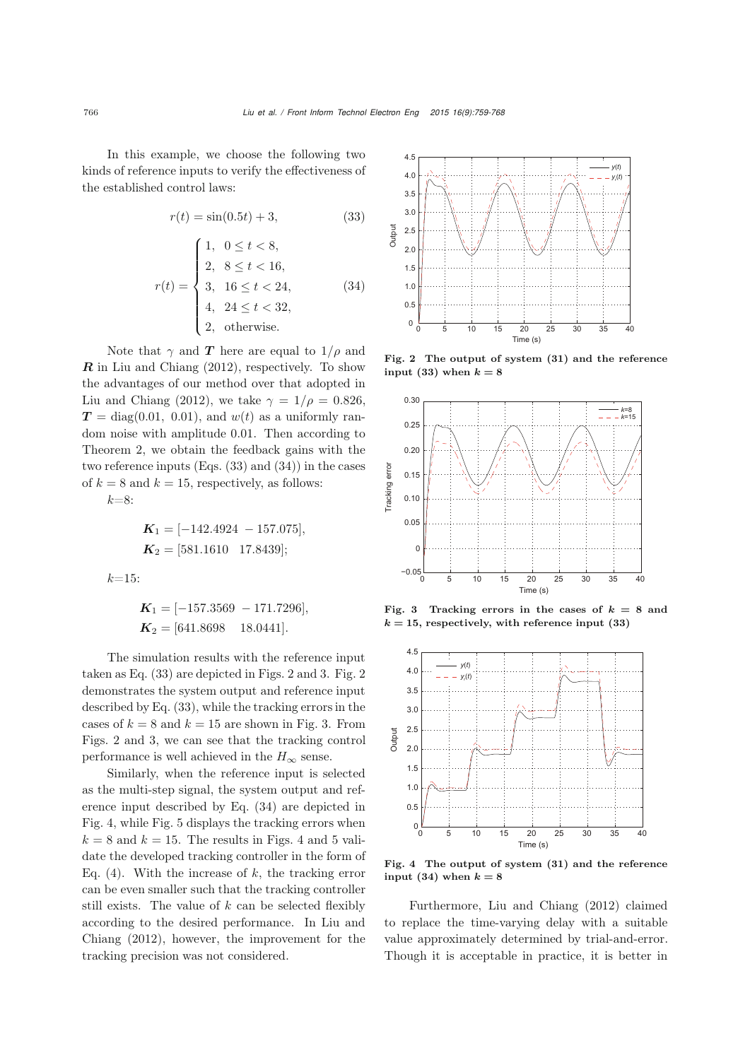In this example, we choose the following two kinds of reference inputs to verify the effectiveness of the established control laws:

$$
r(t) = \sin(0.5t) + 3,
$$
\n(33)\n
$$
r(t) = \begin{cases}\n1, & 0 \le t < 8, \\
2, & 8 \le t < 16, \\
3, & 16 \le t < 24, \\
4, & 24 \le t < 32, \\
2, & \text{otherwise.}\n\end{cases}
$$
\n(34)

Note that  $\gamma$  and **T** here are equal to  $1/\rho$  and *R* in [Liu and Chiang](#page-8-6) [\(2012](#page-8-6)), respectively. To show the advantages of our method over that adopted in [Liu and Chiang](#page-8-6) [\(2012\)](#page-8-6), we take  $\gamma = 1/\rho = 0.826$ ,  $T = diag(0.01, 0.01)$ , and  $w(t)$  as a uniformly random noise with amplitude 0.01. Then according to Theorem 2, we obtain the feedback gains with the two reference inputs (Eqs. (33) and (34)) in the cases of  $k = 8$  and  $k = 15$ , respectively, as follows:

 $k=8$ :

 $k=1$ 

$$
K_1 = [-142.4924 - 157.075],
$$
  
\n
$$
K_2 = [581.1610 \quad 17.8439];
$$
  
\n5:

$$
K_1 = [-157.3569 - 171.7296],
$$
  

$$
K_2 = [641.8698 \quad 18.0441].
$$

The simulation results with the reference input taken as Eq. (33) are depicted in Figs. 2 and 3. Fig. 2 demonstrates the system output and reference input described by Eq. (33), while the tracking errors in the cases of  $k = 8$  and  $k = 15$  are shown in Fig. 3. From Figs. 2 and 3, we can see that the tracking control performance is well achieved in the  $H_{\infty}$  sense.

Similarly, when the reference input is selected as the multi-step signal, the system output and reference input described by Eq. (34) are depicted in Fig. 4, while Fig. 5 displays the tracking errors when  $k = 8$  and  $k = 15$ . The results in Figs. 4 and 5 validate the developed tracking controller in the form of Eq. (4). With the increase of  $k$ , the tracking error can be even smaller such that the tracking controller still exists. The value of  $k$  can be selected flexibly accord[ing](#page-8-6) [to](#page-8-6) [the](#page-8-6) [desired](#page-8-6) [performance.](#page-8-6) [In](#page-8-6) Liu and Chiang [\(2012\)](#page-8-6), however, the improvement for the tracking precision was not considered.



Fig. 2 The output of system (31) and the reference input (33) when  $k = 8$ 



Fig. 3 Tracking errors in the cases of  $k = 8$  and  $k = 15$ , respectively, with reference input  $(33)$ 



Fig. 4 The output of system (31) and the reference input (34) when  $k = 8$ 

Furthermore, [Liu and Chiang](#page-8-6) [\(2012](#page-8-6)) claimed to replace the time-varying delay with a suitable value approximately determined by trial-and-error. Though it is acceptable in practice, it is better in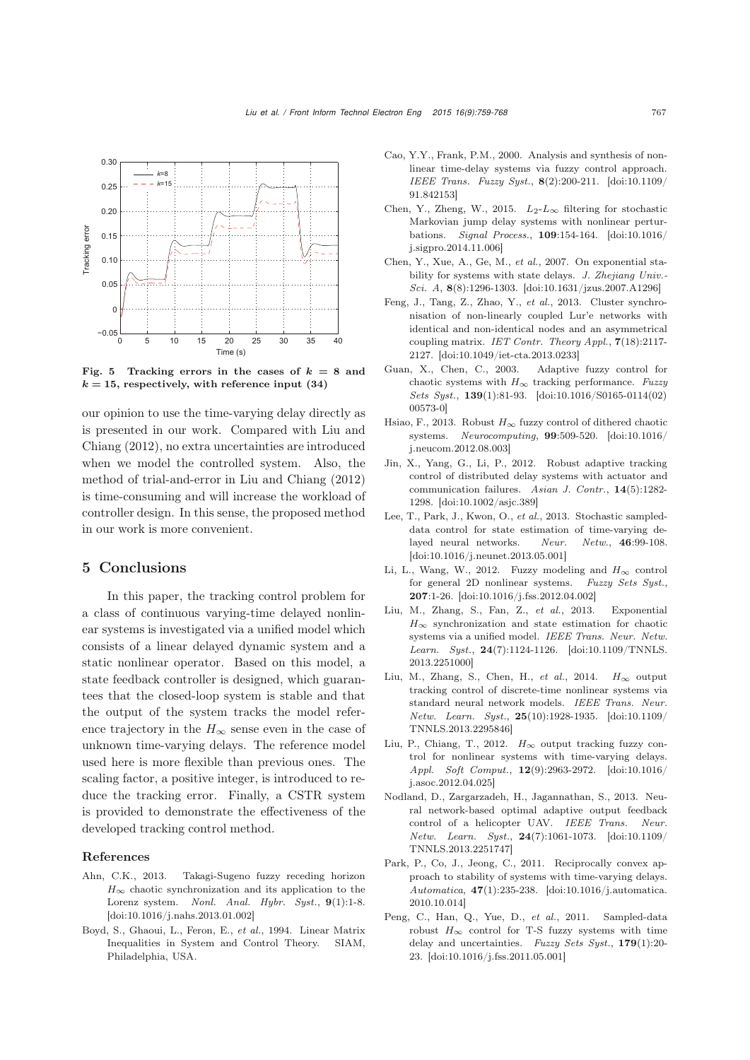

Fig. 5 Tracking errors in the cases of  $k = 8$  and  $k = 15$ , respectively, with reference input  $(34)$ 

our opinion to use the time-varying delay directly as is pres[ented](#page-8-6) [in](#page-8-6) [our](#page-8-6) [work.](#page-8-6) [Compared](#page-8-6) [with](#page-8-6) Liu and Chiang [\(2012\)](#page-8-6), no extra uncertainties are introduced when we model the controlled system. Also, the method of trial-and-error in [Liu and Chiang](#page-8-6) [\(2012](#page-8-6)) is time-consuming and will increase the workload of controller design. In this sense, the proposed method in our work is more convenient.

### 5 Conclusions

In this paper, the tracking control problem for a class of continuous varying-time delayed nonlinear systems is investigated via a unified model which consists of a linear delayed dynamic system and a static nonlinear operator. Based on this model, a state feedback controller is designed, which guarantees that the closed-loop system is stable and that the output of the system tracks the model reference trajectory in the  $H_{\infty}$  sense even in the case of unknown time-varying delays. The reference model used here is more flexible than previous ones. The scaling factor, a positive integer, is introduced to reduce the tracking error. Finally, a CSTR system is provided to demonstrate the effectiveness of the developed tracking control method.

#### References

- <span id="page-8-12"></span>Ahn, C.K., 2013. Takagi-Sugeno fuzzy receding horizon  $H_{\infty}$  chaotic synchronization and its application to the Lorenz system. *Nonl. Anal. Hybr. Syst.*, 9(1):1-8. [\[doi:10.1016/j.nahs.2013.01.002\]](http://dx.doi.org/10.1016/j.nahs.2013.01.002)
- <span id="page-8-16"></span>Boyd, S., Ghaoui, L., Feron, E., *et al.*, 1994. Linear Matrix Inequalities in System and Control Theory. SIAM, Philadelphia, USA.
- <span id="page-8-10"></span>Cao, Y.Y., Frank, P.M., 2000. Analysis and synthesis of nonlinear time-delay systems via fuzzy control approach. *IEEE Trans. Fuzzy Syst.*, 8(2):200-211. [\[doi:10.1109/](http://dx.doi.org/10.1109/91.842153) [91.842153\]](http://dx.doi.org/10.1109/91.842153)
- <span id="page-8-8"></span>Chen, Y., Zheng, W., 2015.  $L_2$ - $L_{\infty}$  filtering for stochastic Markovian jump delay systems with nonlinear perturbations. *Signal Process.*, 109:154-164. [\[doi:10.1016/](http://dx.doi.org/10.1016/j.sigpro.2014.11.006) [j.sigpro.2014.11.006\]](http://dx.doi.org/10.1016/j.sigpro.2014.11.006)
- <span id="page-8-7"></span>Chen, Y., Xue, A., Ge, M., *et al.*, 2007. On exponential stability for systems with state delays. *J. Zhejiang Univ.- Sci. A*, 8(8):1296-1303. [\[doi:10.1631/jzus.2007.A1296\]](http://dx.doi.org/10.1631/jzus.2007.A1296)
- <span id="page-8-14"></span>Feng, J., Tang, Z., Zhao, Y., *et al.*, 2013. Cluster synchronisation of non-linearly coupled Lur'e networks with identical and non-identical nodes and an asymmetrical coupling matrix. *IET Contr. Theory Appl.*, 7(18):2117- 2127. [\[doi:10.1049/iet-cta.2013.0233\]](http://dx.doi.org/10.1049/iet-cta.2013.0233)
- <span id="page-8-11"></span>Guan, X., Chen, C., 2003. Adaptive fuzzy control for chaotic systems with  $H_{\infty}$  tracking performance. *Fuzzy Sets Syst.*, 139(1):81-93. [\[doi:10.1016/S0165-0114\(02\)](http://dx.doi.org/10.1016/S0165-0114(02)00573-0) [00573-0\]](http://dx.doi.org/10.1016/S0165-0114(02)00573-0)
- <span id="page-8-2"></span>Hsiao, F., 2013. Robust  $H_{\infty}$  fuzzy control of dithered chaotic systems. *Neurocomputing*, 99:509-520. [\[doi:10.1016/](http://dx.doi.org/10.1016/j.neucom.2012.08.003) [j.neucom.2012.08.003\]](http://dx.doi.org/10.1016/j.neucom.2012.08.003)
- <span id="page-8-5"></span>Jin, X., Yang, G., Li, P., 2012. Robust adaptive tracking control of distributed delay systems with actuator and communication failures. *Asian J. Contr.*, 14(5):1282- 1298. [\[doi:10.1002/asjc.389\]](http://dx.doi.org/10.1002/asjc.389)
- <span id="page-8-3"></span>Lee, T., Park, J., Kwon, O., *et al.*, 2013. Stochastic sampleddata control for state estimation of time-varying delayed neural networks. *Neur. Netw.*, 46:99-108. [\[doi:10.1016/j.neunet.2013.05.001\]](http://dx.doi.org/10.1016/j.neunet.2013.05.001)
- <span id="page-8-1"></span>Li, L., Wang, W., 2012. Fuzzy modeling and  $H_{\infty}$  control for general 2D nonlinear systems. *Fuzzy Sets Syst.*, 207:1-26. [\[doi:10.1016/j.fss.2012.04.002\]](http://dx.doi.org/10.1016/j.fss.2012.04.002)
- <span id="page-8-13"></span>Liu, M., Zhang, S., Fan, Z., *et al.*, 2013. Exponential  $H_{\infty}$  synchronization and state estimation for chaotic systems via a unified model. *IEEE Trans. Neur. Netw. Learn. Syst.*, 24(7):1124-1126. [\[doi:10.1109/TNNLS.](http://dx.doi.org/10.1109/TNNLS.2013.2251000) [2013.2251000\]](http://dx.doi.org/10.1109/TNNLS.2013.2251000)
- <span id="page-8-9"></span>Liu, M., Zhang, S., Chen, H., *et al.*, 2014. *H*<sup>∞</sup> output tracking control of discrete-time nonlinear systems via standard neural network models. *IEEE Trans. Neur. Netw. Learn. Syst.*, 25(10):1928-1935. [\[doi:10.1109/](http://dx.doi.org/10.1109/TNNLS.2013.2295846) [TNNLS.2013.2295846\]](http://dx.doi.org/10.1109/TNNLS.2013.2295846)
- <span id="page-8-6"></span>Liu, P., Chiang, T., 2012. *H*<sup>∞</sup> output tracking fuzzy control for nonlinear systems with time-varying delays. *Appl. Soft Comput.*, 12(9):2963-2972. [\[doi:10.1016/](http://dx.doi.org/10.1016/j.asoc.2012.04.025) [j.asoc.2012.04.025\]](http://dx.doi.org/10.1016/j.asoc.2012.04.025)
- <span id="page-8-4"></span>Nodland, D., Zargarzadeh, H., Jagannathan, S., 2013. Neural network-based optimal adaptive output feedback control of a helicopter UAV. *IEEE Trans. Neur. Netw. Learn. Syst.*, 24(7):1061-1073. [\[doi:10.1109/](http://dx.doi.org/10.1109/TNNLS.2013.2251747) [TNNLS.2013.2251747\]](http://dx.doi.org/10.1109/TNNLS.2013.2251747)
- <span id="page-8-15"></span>Park, P., Co, J., Jeong, C., 2011. Reciprocally convex approach to stability of systems with time-varying delays. *Automatica*, 47(1):235-238. [\[doi:10.1016/j.automatica.](http://dx.doi.org/10.1016/j.automatica.2010.10.014) [2010.10.014\]](http://dx.doi.org/10.1016/j.automatica.2010.10.014)
- <span id="page-8-0"></span>Peng, C., Han, Q., Yue, D., *et al.*, 2011. Sampled-data robust  $H_{\infty}$  control for T-S fuzzy systems with time delay and uncertainties. *Fuzzy Sets Syst.*, 179(1):20- 23. [\[doi:10.1016/j.fss.2011.05.001\]](http://dx.doi.org/10.1016/j.fss.2011.05.001)